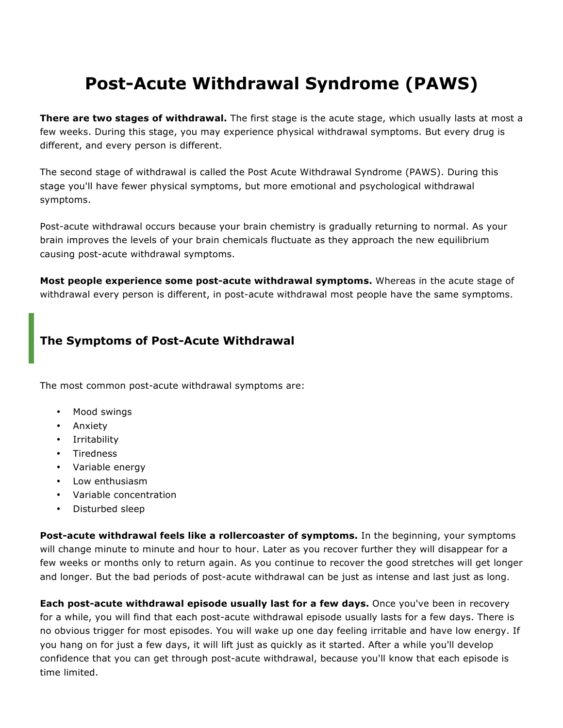## **Post-Acute Withdrawal Syndrome (PAWS)**

**There are two stages of withdrawal.** The first stage is the acute stage, which usually lasts at most a few weeks. During this stage, you may experience physical withdrawal symptoms. But every drug is different, and every person is different.

The second stage of withdrawal is called the Post Acute Withdrawal Syndrome (PAWS). During this stage you'll have fewer physical symptoms, but more emotional and psychological withdrawal symptoms.

Post-acute withdrawal occurs because your brain chemistry is gradually returning to normal. As your brain improves the levels of your brain chemicals fluctuate as they approach the new equilibrium causing post-acute withdrawal symptoms.

**Most people experience some post-acute withdrawal symptoms.** Whereas in the acute stage of withdrawal every person is different, in post-acute withdrawal most people have the same symptoms.

## **The Symptoms of Post-Acute Withdrawal**

The most common post-acute withdrawal symptoms are:

- Mood swings
- Anxiety
- Irritability
- Tiredness
- Variable energy
- Low enthusiasm
- Variable concentration
- Disturbed sleep

**Post-acute withdrawal feels like a rollercoaster of symptoms.** In the beginning, your symptoms will change minute to minute and hour to hour. Later as you recover further they will disappear for a few weeks or months only to return again. As you continue to recover the good stretches will get longer and longer. But the bad periods of post-acute withdrawal can be just as intense and last just as long.

**Each post-acute withdrawal episode usually last for a few days.** Once you've been in recovery for a while, you will find that each post-acute withdrawal episode usually lasts for a few days. There is no obvious trigger for most episodes. You will wake up one day feeling irritable and have low energy. If you hang on for just a few days, it will lift just as quickly as it started. After a while you'll develop confidence that you can get through post-acute withdrawal, because you'll know that each episode is time limited.